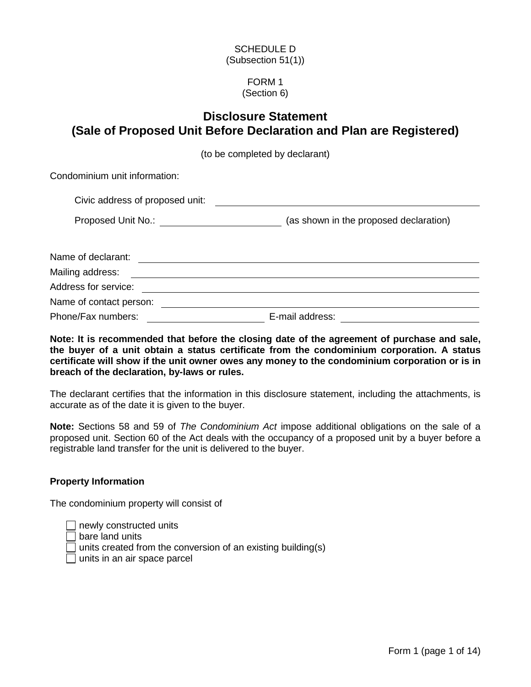### SCHEDULE D (Subsection 51(1))

#### FORM 1 (Section 6)

# **Disclosure Statement (Sale of Proposed Unit Before Declaration and Plan are Registered)**

(to be completed by declarant)

Condominium unit information:

| Civic address of proposed unit: |  |
|---------------------------------|--|
|                                 |  |

|  | Proposed Unit No.: |  | (as shown in the proposed declaration) |
|--|--------------------|--|----------------------------------------|
|--|--------------------|--|----------------------------------------|

| Name of declarant:      |                 |
|-------------------------|-----------------|
| Mailing address:        |                 |
| Address for service:    |                 |
| Name of contact person: |                 |
| Phone/Fax numbers:      | E-mail address: |

**Note: It is recommended that before the closing date of the agreement of purchase and sale, the buyer of a unit obtain a status certificate from the condominium corporation. A status certificate will show if the unit owner owes any money to the condominium corporation or is in breach of the declaration, by-laws or rules.**

The declarant certifies that the information in this disclosure statement, including the attachments, is accurate as of the date it is given to the buyer.

**Note:** Sections 58 and 59 of *The Condominium Act* impose additional obligations on the sale of a proposed unit. Section 60 of the Act deals with the occupancy of a proposed unit by a buyer before a registrable land transfer for the unit is delivered to the buyer.

### **Property Information**

The condominium property will consist of

 $\Box$  newly constructed units  $\Box$  bare land units  $\Box$  units created from the conversion of an existing building(s)  $\Box$  units in an air space parcel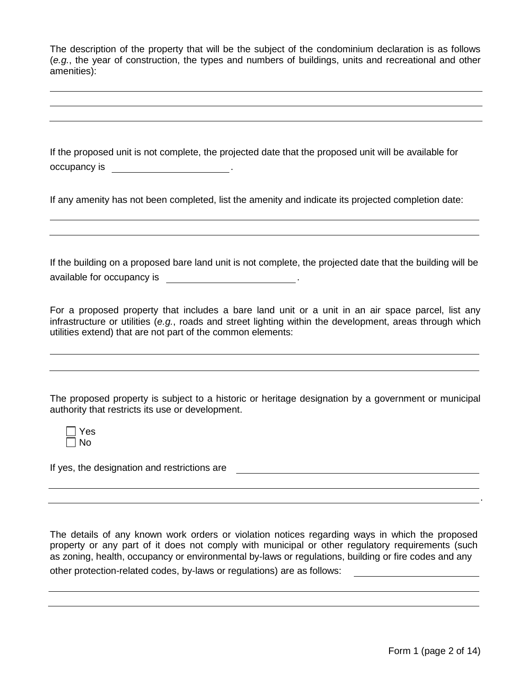The description of the property that will be the subject of the condominium declaration is as follows (*e.g.*, the year of construction, the types and numbers of buildings, units and recreational and other amenities):

If the proposed unit is not complete, the projected date that the proposed unit will be available for occupancy is  $\qquad \qquad \qquad$ .

If any amenity has not been completed, list the amenity and indicate its projected completion date:

If the building on a proposed bare land unit is not complete, the projected date that the building will be available for occupancy is .

For a proposed property that includes a bare land unit or a unit in an air space parcel, list any infrastructure or utilities (*e.g.*, roads and street lighting within the development, areas through which utilities extend) that are not part of the common elements:

The proposed property is subject to a historic or heritage designation by a government or municipal authority that restricts its use or development.

| - 2<br>÷ |
|----------|
| n<br>J   |

If yes, the designation and restrictions are

The details of any known work orders or violation notices regarding ways in which the proposed property or any part of it does not comply with municipal or other regulatory requirements (such as zoning, health, occupancy or environmental by-laws or regulations, building or fire codes and any

other protection-related codes, by-laws or regulations) are as follows:

.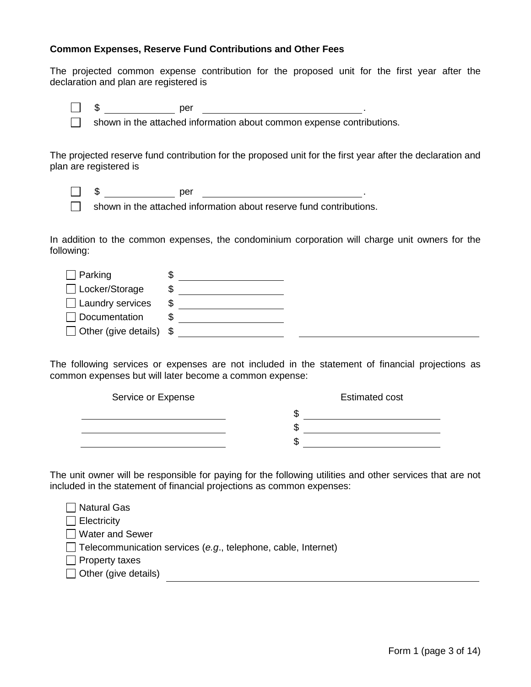#### **Common Expenses, Reserve Fund Contributions and Other Fees**

The projected common expense contribution for the proposed unit for the first year after the declaration and plan are registered is

 $\Box$  \$  $\qquad \qquad$  per  $\qquad \qquad$  .

 $\Box$  shown in the attached information about common expense contributions.

The projected reserve fund contribution for the proposed unit for the first year after the declaration and plan are registered is

\$ per .

shown in the attached information about reserve fund contributions.

In addition to the common expenses, the condominium corporation will charge unit owners for the following:

| $\Box$ Parking                  |   |  |
|---------------------------------|---|--|
| □ Locker/Storage                |   |  |
| $\Box$ Laundry services         | S |  |
| $\Box$ Documentation            |   |  |
| Other (give details) $\sqrt{s}$ |   |  |

The following services or expenses are not included in the statement of financial projections as common expenses but will later become a common expense:

| Service or Expense | <b>Estimated cost</b> |
|--------------------|-----------------------|
|                    | J٦                    |
|                    | w                     |
|                    | κIJ                   |

The unit owner will be responsible for paying for the following utilities and other services that are not included in the statement of financial projections as common expenses:

| Natural Gas                                                          |
|----------------------------------------------------------------------|
| $\Box$ Electricity                                                   |
| □ Water and Sewer                                                    |
| $\Box$ Telecommunication services (e.g., telephone, cable, Internet) |
| $\Box$ Property taxes                                                |
| $\Box$ Other (give details)                                          |
|                                                                      |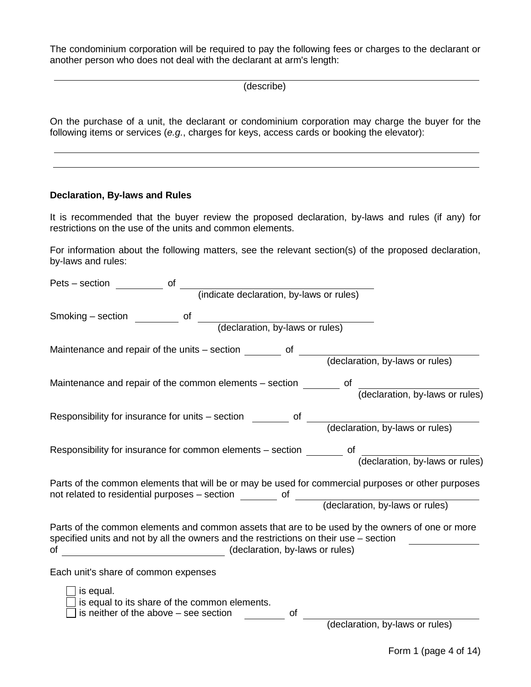The condominium corporation will be required to pay the following fees or charges to the declarant or another person who does not deal with the declarant at arm's length:

(describe)

On the purchase of a unit, the declarant or condominium corporation may charge the buyer for the following items or services (*e.g.*, charges for keys, access cards or booking the elevator):

#### **Declaration, By-laws and Rules**

It is recommended that the buyer review the proposed declaration, by-laws and rules (if any) for restrictions on the use of the units and common elements.

For information about the following matters, see the relevant section(s) of the proposed declaration, by-laws and rules:

| of<br>Pets - section                                                                                                                                                                                                              |
|-----------------------------------------------------------------------------------------------------------------------------------------------------------------------------------------------------------------------------------|
| (indicate declaration, by-laws or rules)                                                                                                                                                                                          |
| Smoking – section<br>of<br>(declaration, by-laws or rules)                                                                                                                                                                        |
| Maintenance and repair of the units - section<br>0f<br>(declaration, by-laws or rules)                                                                                                                                            |
| Maintenance and repair of the common elements – section<br>οf<br>(declaration, by-laws or rules)                                                                                                                                  |
| Responsibility for insurance for units – section of<br>(declaration, by-laws or rules)                                                                                                                                            |
| Responsibility for insurance for common elements - section<br>οf<br>(declaration, by-laws or rules)                                                                                                                               |
| Parts of the common elements that will be or may be used for commercial purposes or other purposes<br>not related to residential purposes – section ________ of ________ (declaration, by-laws or rules)                          |
| Parts of the common elements and common assets that are to be used by the owners of one or more<br>specified units and not by all the owners and the restrictions on their use - section<br>(declaration, by-laws or rules)<br>οf |
| Each unit's share of common expenses                                                                                                                                                                                              |
| is equal.<br>is equal to its share of the common elements.<br>is neither of the above $-$ see section<br>(declaration, by-laws or rules)<br>οf                                                                                    |
|                                                                                                                                                                                                                                   |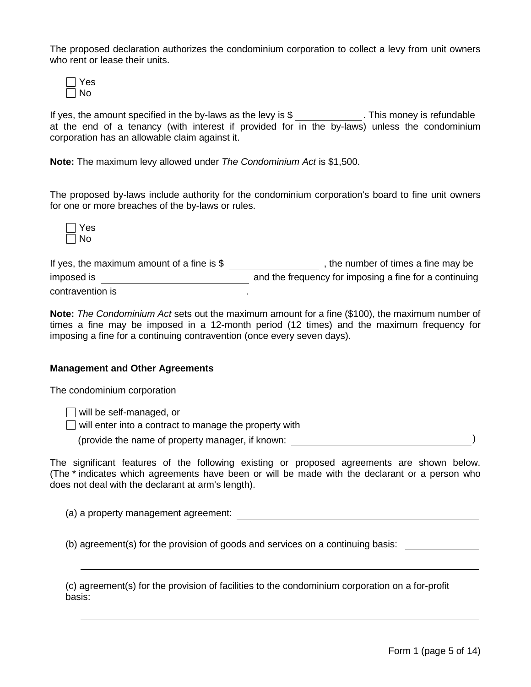The proposed declaration authorizes the condominium corporation to collect a levy from unit owners who rent or lease their units.

| ś |
|---|
|   |

If yes, the amount specified in the by-laws as the levy is  $\frac{1}{2}$  . This money is refundable at the end of a tenancy (with interest if provided for in the by-laws) unless the condominium corporation has an allowable claim against it.

**Note:** The maximum levy allowed under *The Condominium Act* is \$1,500.

The proposed by-laws include authority for the condominium corporation's board to fine unit owners for one or more breaches of the by-laws or rules.



| If yes, the maximum amount of a fine is $$$ | the number of times a fine may be                      |
|---------------------------------------------|--------------------------------------------------------|
| imposed is                                  | and the frequency for imposing a fine for a continuing |
| contravention is                            |                                                        |

**Note:** *The Condominium Act* sets out the maximum amount for a fine (\$100), the maximum number of times a fine may be imposed in a 12-month period (12 times) and the maximum frequency for imposing a fine for a continuing contravention (once every seven days).

### **Management and Other Agreements**

The condominium corporation

 $\Box$  will be self-managed, or

 $\Box$  will enter into a contract to manage the property with

(provide the name of property manager, if known: )

The significant features of the following existing or proposed agreements are shown below. (The \* indicates which agreements have been or will be made with the declarant or a person who does not deal with the declarant at arm's length).

(a) a property management agreement:

(b) agreement(s) for the provision of goods and services on a continuing basis:

(c) agreement(s) for the provision of facilities to the condominium corporation on a for-profit basis: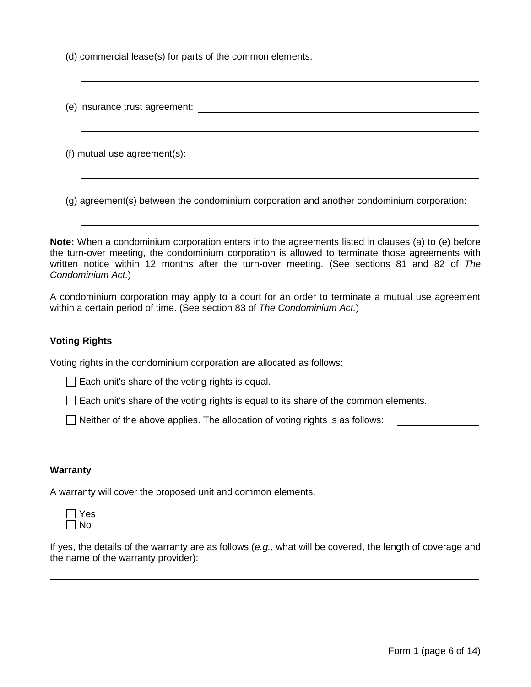(d) commercial lease(s) for parts of the common elements:

| (e) insurance trust agreement: |  |
|--------------------------------|--|
| (f) mutual use agreement(s):   |  |
|                                |  |

(g) agreement(s) between the condominium corporation and another condominium corporation:

**Note:** When a condominium corporation enters into the agreements listed in clauses (a) to (e) before the turn-over meeting, the condominium corporation is allowed to terminate those agreements with written notice within 12 months after the turn-over meeting. (See sections 81 and 82 of *The Condominium Act.*)

A condominium corporation may apply to a court for an order to terminate a mutual use agreement within a certain period of time. (See section 83 of *The Condominium Act.*)

### **Voting Rights**

Voting rights in the condominium corporation are allocated as follows:

 $\Box$  Each unit's share of the voting rights is equal.

 $\Box$  Each unit's share of the voting rights is equal to its share of the common elements.

 $\Box$  Neither of the above applies. The allocation of voting rights is as follows:

#### **Warranty**

A warranty will cover the proposed unit and common elements.

| ٠<br>÷ |
|--------|
| n      |

If yes, the details of the warranty are as follows (*e.g.*, what will be covered, the length of coverage and the name of the warranty provider):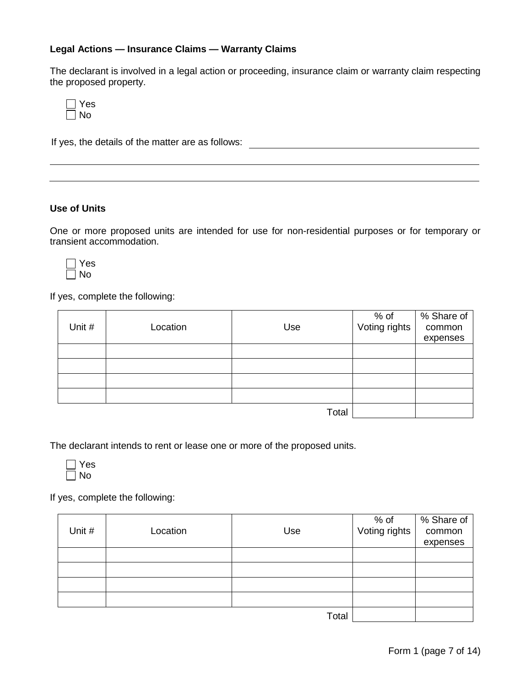### **Legal Actions — Insurance Claims — Warranty Claims**

The declarant is involved in a legal action or proceeding, insurance claim or warranty claim respecting the proposed property.

| ÷<br>- |
|--------|
| n<br>v |

If yes, the details of the matter are as follows:

#### **Use of Units**

One or more proposed units are intended for use for non-residential purposes or for temporary or transient accommodation.

 $\sqsupset$  Yes  $\Box$  No

If yes, complete the following:

|        |          |       | % of<br>Voting rights | $\sqrt%$ Share of |
|--------|----------|-------|-----------------------|-------------------|
| Unit # | Location | Use   |                       | common            |
|        |          |       |                       | expenses          |
|        |          |       |                       |                   |
|        |          |       |                       |                   |
|        |          |       |                       |                   |
|        |          |       |                       |                   |
|        |          | Total |                       |                   |

The declarant intends to rent or lease one or more of the proposed units.



If yes, complete the following:

| Unit # | Location | Use   | % of<br>Voting rights | % Share of<br>common<br>expenses |
|--------|----------|-------|-----------------------|----------------------------------|
|        |          |       |                       |                                  |
|        |          |       |                       |                                  |
|        |          |       |                       |                                  |
|        |          |       |                       |                                  |
|        |          | Total |                       |                                  |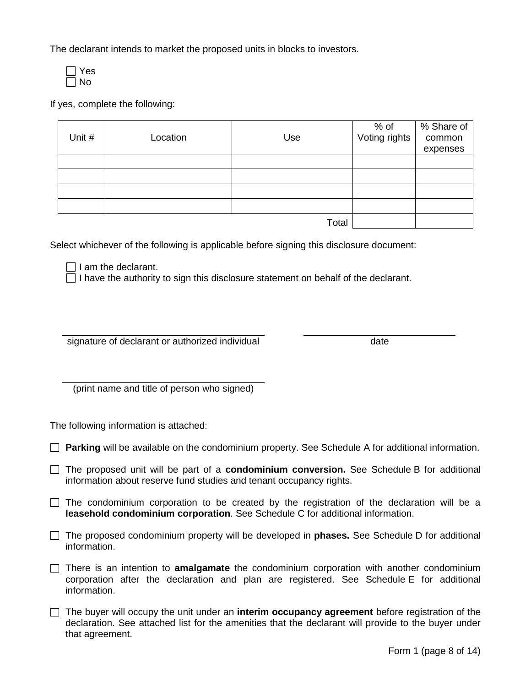The declarant intends to market the proposed units in blocks to investors.



If yes, complete the following:

|        |          |       | % of<br>Voting rights | % Share of |
|--------|----------|-------|-----------------------|------------|
| Unit # | Location | Use   |                       | common     |
|        |          |       |                       | expenses   |
|        |          |       |                       |            |
|        |          |       |                       |            |
|        |          |       |                       |            |
|        |          |       |                       |            |
|        |          | Total |                       |            |

Select whichever of the following is applicable before signing this disclosure document:

 $\Box$  I am the declarant.

 $\Box$  I have the authority to sign this disclosure statement on behalf of the declarant.

signature of declarant or authorized individual date

(print name and title of person who signed)

The following information is attached:

**Parking** will be available on the condominium property. See Schedule A for additional information.

- The proposed unit will be part of a **condominium conversion.** See Schedule B for additional information about reserve fund studies and tenant occupancy rights.
- $\Box$  The condominium corporation to be created by the registration of the declaration will be a **leasehold condominium corporation**. See Schedule C for additional information.
- The proposed condominium property will be developed in **phases.** See Schedule D for additional information.
- There is an intention to **amalgamate** the condominium corporation with another condominium corporation after the declaration and plan are registered. See Schedule E for additional information.
- The buyer will occupy the unit under an **interim occupancy agreement** before registration of the declaration. See attached list for the amenities that the declarant will provide to the buyer under that agreement.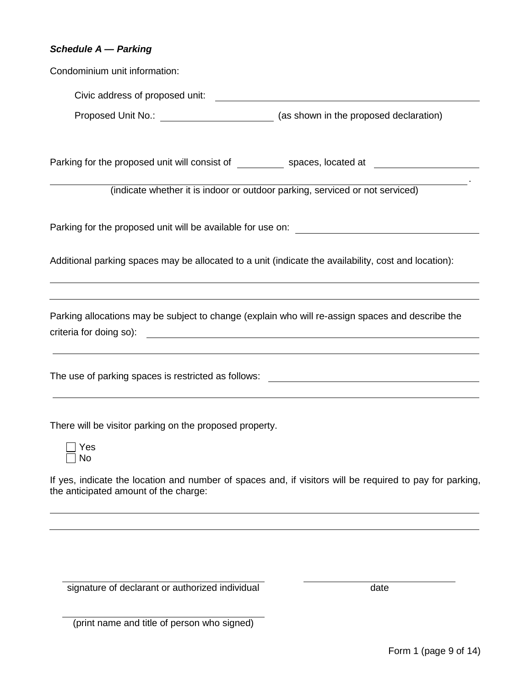#### *Schedule A — Parking*

Condominium unit information:

Civic address of proposed unit: Proposed Unit No.: (as shown in the proposed declaration)

Parking for the proposed unit will consist of spaces, located at spaces at

(indicate whether it is indoor or outdoor parking, serviced or not serviced)

Parking for the proposed unit will be available for use on:

Additional parking spaces may be allocated to a unit (indicate the availability, cost and location):

Parking allocations may be subject to change (explain who will re-assign spaces and describe the criteria for doing so):

The use of parking spaces is restricted as follows:

There will be visitor parking on the proposed property.



If yes, indicate the location and number of spaces and, if visitors will be required to pay for parking, the anticipated amount of the charge:

signature of declarant or authorized individual date

| (print name and title of person who signed) |  |
|---------------------------------------------|--|
|---------------------------------------------|--|

.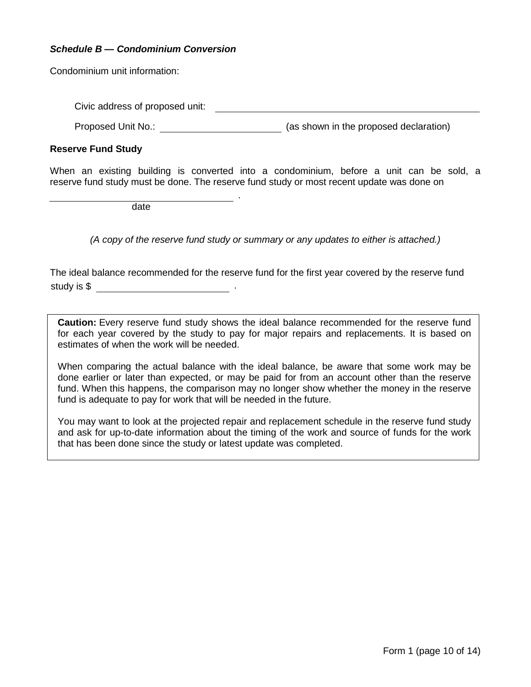### *Schedule B — Condominium Conversion*

Condominium unit information:

Civic address of proposed unit:

Proposed Unit No.: (as shown in the proposed declaration)

#### **Reserve Fund Study**

When an existing building is converted into a condominium, before a unit can be sold, a reserve fund study must be done. The reserve fund study or most recent update was done on

.

date

*(A copy of the reserve fund study or summary or any updates to either is attached.)*

The ideal balance recommended for the reserve fund for the first year covered by the reserve fund study is  $\$\,$ 

**Caution:** Every reserve fund study shows the ideal balance recommended for the reserve fund for each year covered by the study to pay for major repairs and replacements. It is based on estimates of when the work will be needed.

When comparing the actual balance with the ideal balance, be aware that some work may be done earlier or later than expected, or may be paid for from an account other than the reserve fund. When this happens, the comparison may no longer show whether the money in the reserve fund is adequate to pay for work that will be needed in the future.

You may want to look at the projected repair and replacement schedule in the reserve fund study and ask for up-to-date information about the timing of the work and source of funds for the work that has been done since the study or latest update was completed.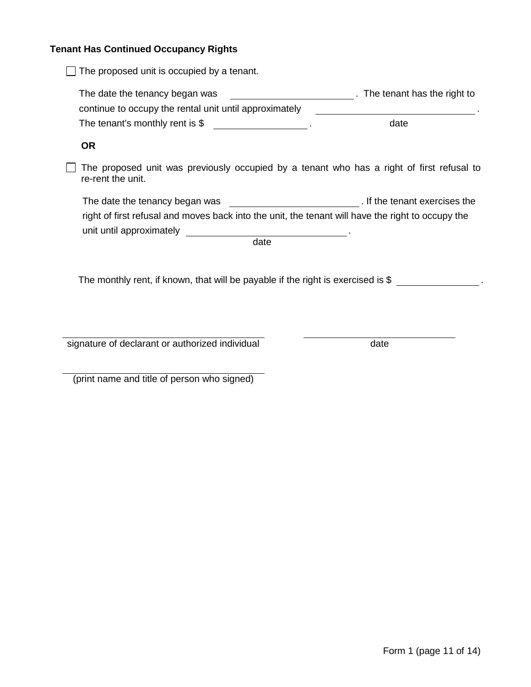## **Tenant Has Continued Occupancy Rights**

| The proposed unit is occupied by a tenant.                                                                     |                             |
|----------------------------------------------------------------------------------------------------------------|-----------------------------|
| The date the tenancy began was                                                                                 | The tenant has the right to |
| continue to occupy the rental unit until approximately                                                         |                             |
| The tenant's monthly rent is $$$                                                                               | date                        |
| <b>OR</b>                                                                                                      |                             |
| The proposed unit was previously occupied by a tenant who has a right of first refusal to<br>re-rent the unit. |                             |
|                                                                                                                |                             |
| right of first refusal and moves back into the unit, the tenant will have the right to occupy the              |                             |
| date                                                                                                           |                             |
|                                                                                                                |                             |
| The monthly rent, if known, that will be payable if the right is exercised is $$$                              |                             |
|                                                                                                                |                             |
|                                                                                                                |                             |
|                                                                                                                |                             |
| signature of declarant or authorized individual                                                                | date                        |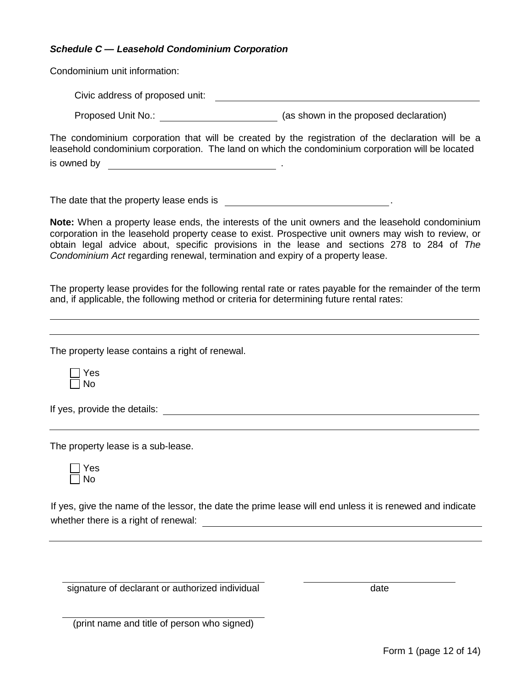### *Schedule C — Leasehold Condominium Corporation*

Condominium unit information:

Civic address of proposed unit:

Proposed Unit No.: (as shown in the proposed declaration)

The condominium corporation that will be created by the registration of the declaration will be a leasehold condominium corporation. The land on which the condominium corporation will be located is owned by **a contract of the contract of the contract of the contract of the contract of the contract of the contract of the contract of the contract of the contract of the contract of the contract of the contract of the** 

The date that the property lease ends is .

**Note:** When a property lease ends, the interests of the unit owners and the leasehold condominium corporation in the leasehold property cease to exist. Prospective unit owners may wish to review, or obtain legal advice about, specific provisions in the lease and sections 278 to 284 of *The Condominium Act* regarding renewal, termination and expiry of a property lease.

The property lease provides for the following rental rate or rates payable for the remainder of the term and, if applicable, the following method or criteria for determining future rental rates:

The property lease contains a right of renewal.

Yes  $\Box$  No

If yes, provide the details:

The property lease is a sub-lease.

Yes  $\Box$  No

If yes, give the name of the lessor, the date the prime lease will end unless it is renewed and indicate whether there is a right of renewal:

signature of declarant or authorized individual date of the case of date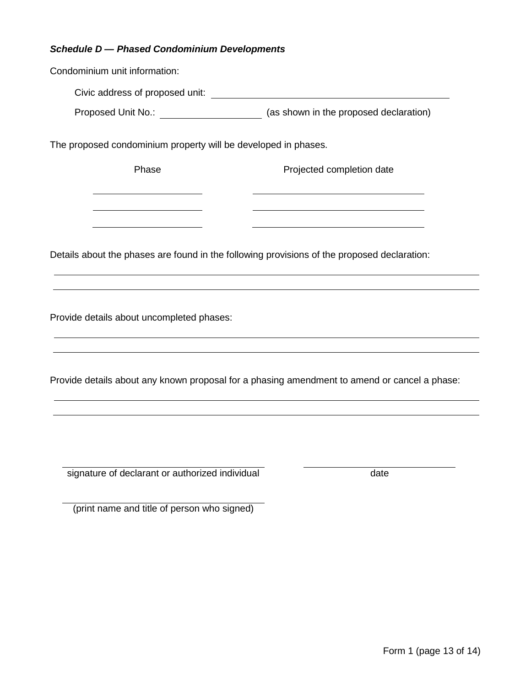### *Schedule D — Phased Condominium Developments*

Condominium unit information: The proposed condominium property will be developed in phases. Phase Phase Projected completion date Details about the phases are found in the following provisions of the proposed declaration: Provide details about uncompleted phases: Provide details about any known proposal for a phasing amendment to amend or cancel a phase: signature of declarant or authorized individual date Civic address of proposed unit: Proposed Unit No.: (as shown in the proposed declaration)